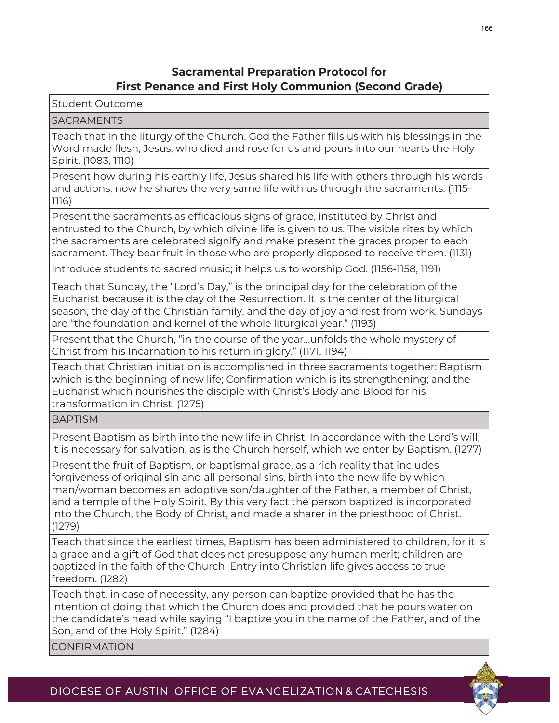## **Sacramental Preparation Protocol for First Penance and First Holy Communion (Second Grade)**

Student Outcome

## SACRAMENTS

Teach that in the liturgy of the Church, God the Father fills us with his blessings in the Word made flesh, Jesus, who died and rose for us and pours into our hearts the Holy Spirit. (1083, 1110)

Present how during his earthly life, Jesus shared his life with others through his words and actions; now he shares the very same life with us through the sacraments. (1115- 1116)

Present the sacraments as efficacious signs of grace, instituted by Christ and entrusted to the Church, by which divine life is given to us. The visible rites by which the sacraments are celebrated signify and make present the graces proper to each sacrament. They bear fruit in those who are properly disposed to receive them. (1131)

Introduce students to sacred music; it helps us to worship God. (1156-1158, 1191)

Teach that Sunday, the "Lord's Day," is the principal day for the celebration of the Eucharist because it is the day of the Resurrection. It is the center of the liturgical season, the day of the Christian family, and the day of joy and rest from work. Sundays are "the foundation and kernel of the whole liturgical year." (1193)

Present that the Church, "in the course of the year…unfolds the whole mystery of Christ from his Incarnation to his return in glory." (1171, 1194)

Teach that Christian initiation is accomplished in three sacraments together: Baptism which is the beginning of new life; Confirmation which is its strengthening; and the Eucharist which nourishes the disciple with Christ's Body and Blood for his transformation in Christ. (1275)

**BAPTISM** 

Present Baptism as birth into the new life in Christ. In accordance with the Lord's will, it is necessary for salvation, as is the Church herself, which we enter by Baptism. (1277)

Present the fruit of Baptism, or baptismal grace, as a rich reality that includes forgiveness of original sin and all personal sins, birth into the new life by which man/woman becomes an adoptive son/daughter of the Father, a member of Christ, and a temple of the Holy Spirit. By this very fact the person baptized is incorporated into the Church, the Body of Christ, and made a sharer in the priesthood of Christ. (1279)

Teach that since the earliest times, Baptism has been administered to children, for it is a grace and a gift of God that does not presuppose any human merit; children are baptized in the faith of the Church. Entry into Christian life gives access to true freedom. (1282)

Teach that, in case of necessity, any person can baptize provided that he has the intention of doing that which the Church does and provided that he pours water on the candidate's head while saying "I baptize you in the name of the Father, and of the Son, and of the Holy Spirit." (1284)

CONFIRMATION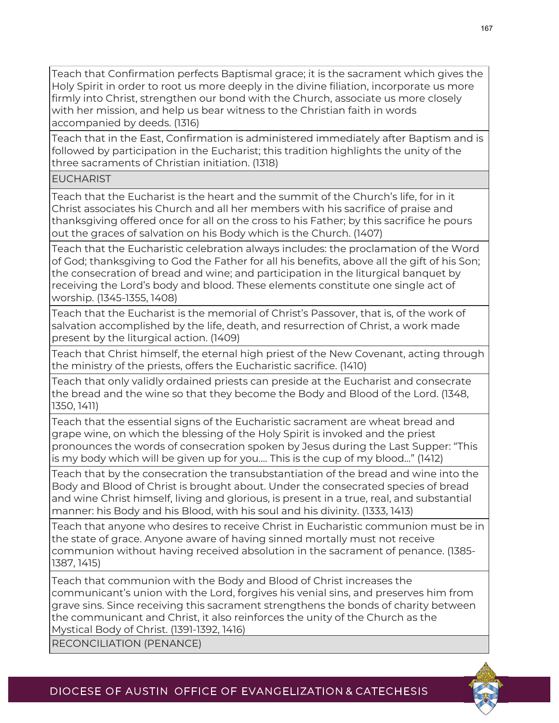Teach that Confirmation perfects Baptismal grace; it is the sacrament which gives the Holy Spirit in order to root us more deeply in the divine filiation, incorporate us more firmly into Christ, strengthen our bond with the Church, associate us more closely with her mission, and help us bear witness to the Christian faith in words accompanied by deeds. (1316)

Teach that in the East, Confirmation is administered immediately after Baptism and is followed by participation in the Eucharist; this tradition highlights the unity of the three sacraments of Christian initiation. (1318)

EUCHARIST

Teach that the Eucharist is the heart and the summit of the Church's life, for in it Christ associates his Church and all her members with his sacrifice of praise and thanksgiving offered once for all on the cross to his Father; by this sacrifice he pours out the graces of salvation on his Body which is the Church. (1407)

Teach that the Eucharistic celebration always includes: the proclamation of the Word of God; thanksgiving to God the Father for all his benefits, above all the gift of his Son; the consecration of bread and wine; and participation in the liturgical banquet by receiving the Lord's body and blood. These elements constitute one single act of worship. (1345-1355, 1408)

Teach that the Eucharist is the memorial of Christ's Passover, that is, of the work of salvation accomplished by the life, death, and resurrection of Christ, a work made present by the liturgical action. (1409)

Teach that Christ himself, the eternal high priest of the New Covenant, acting through the ministry of the priests, offers the Eucharistic sacrifice. (1410)

Teach that only validly ordained priests can preside at the Eucharist and consecrate the bread and the wine so that they become the Body and Blood of the Lord. (1348, 1350, 1411)

Teach that the essential signs of the Eucharistic sacrament are wheat bread and grape wine, on which the blessing of the Holy Spirit is invoked and the priest pronounces the words of consecration spoken by Jesus during the Last Supper: "This is my body which will be given up for you…. This is the cup of my blood…" (1412)

Teach that by the consecration the transubstantiation of the bread and wine into the Body and Blood of Christ is brought about. Under the consecrated species of bread and wine Christ himself, living and glorious, is present in a true, real, and substantial manner: his Body and his Blood, with his soul and his divinity. (1333, 1413)

Teach that anyone who desires to receive Christ in Eucharistic communion must be in the state of grace. Anyone aware of having sinned mortally must not receive communion without having received absolution in the sacrament of penance. (1385- 1387, 1415)

Teach that communion with the Body and Blood of Christ increases the communicant's union with the Lord, forgives his venial sins, and preserves him from grave sins. Since receiving this sacrament strengthens the bonds of charity between the communicant and Christ, it also reinforces the unity of the Church as the Mystical Body of Christ. (1391-1392, 1416)

RECONCILIATION (PENANCE)